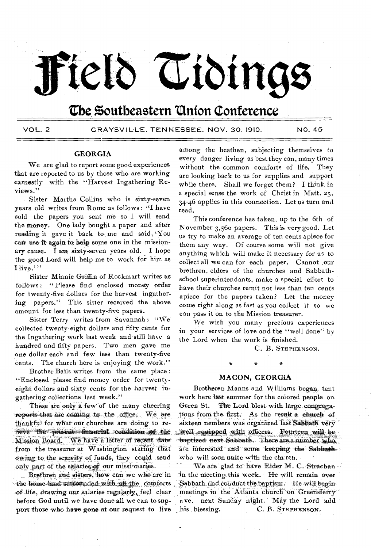# Field Tidings

## **the Southeastern "Onion Conference**

VOL. 2 GRAYSVILLE, TENNESSEE, NOV. 30. 1910, NO, 45

#### **GEORGIA**

We are glad to report some good experiences that are reported to us by those who are working earnestly with the "Harvest Ingathering Reviews."

Sister Martha Collins who is sixty-seven years old writes from Rome as follows : "I have sold the papers you sent me so I will send the money. One lady bought a paper and after reading it gave it back to\_ me and said, 'You can use it again to help some one in the missionary cause. I am sixty-seven years old. I hope the good Lord will help me to work for him as I live.""

Sister Minnie Griffin of Rockmart writes as follows: "Please find enclosed money order for twenty-five dollars for the harvest ingather. ing papers." This sister received the above amount for less than twenty-five papers.

Sister Terry writes from Savannah: "We collected twenty-eight dollars and fifty cents for the Ingathering work last week and still have a hundred and fifty papers. Two men gave me one dollar each and few less than twenty-five cents. The church here is enjoying the work."

Brother Bails writes from the same place : "Enclosed please find money order for twentyeight dollars and sixty cents for the harvest ingathering collections last week."

These are only a few of the many cheering reports that are coming to the office. We are thankful for what our churches are doing to refleve the present financial condition of the Mission Board: We have a letter of recent date' from the treasurer at Washington stating that . Owing:to:the *scarcity* of. funds, they could .send only part of the salaries of our missionaries.

Brethren and sisters, how can we who are in the home land surrounded with all the comforts of life, drawing our salaries regularly, feel clear before God until we have done all we can to support those who have gone-at-our request to live his blessing.

among the heathen, subjecting themselves to every danger living as best they can, many times without the common comforts of life. They are looking back to us for supplies and support while there. Shall we forget them? I think in a special sense the work of Christ in Matt. 25, 34-46 applies in this connection. Let us turn and read.

This conference has taken, up to the 6th of November 3,56o papers. This is very good. Let us try to make an average of ten cents apiece for them any way. Of course some will not give anything which will make it necessary for us to collect all we can for each paper. Cannot ,our brethren, elders of the churches and Sabbathschool superintendants, make a special effort to have their churches remit not less than ten cents apiece for the papers taken? Let the money come right along as fast as you collect it so we can pass it on to the Mission treasurer.

We wish you many precious experiences in your services of love and the "well done" by the Lord when the work is finished.

C. B. STEPHENSON.

#### **MACON, GEORGIA**

Brotheren Manns and Williams began. tent work here last summer for the colored people on Green St. The Lord blest with large congregations from the, first. As the result a church of sixteen nembers was organized last Sabbath very well equipped with officers. Fourteen will be baptized next Sabbath. There are a number who are interested and some keeping the Sabbath'. who will soon unite with the church.

We are glad to have Elder M. C. Strachan in the meeting this week. He will remain over Sabbath and couduct the baptism. He will beginmeetings in the Atlanta church on Greensferry ave. next Sunday night. May the Lord add C. B. STEPHENSON.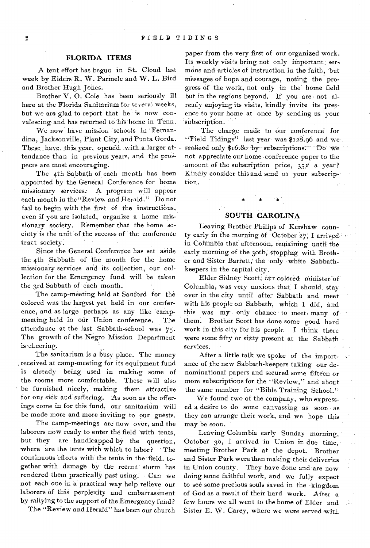#### **FLORIDA ITEMS**

A tent effort has begun in St. Cloud last week by Elders R. W. Parmele and W. L. Bird and Brother Hugh Jones.

Brother V. 0. Cole has been seriously ill here at the Florida Sanitarium for several weeks, but we are glad to report that he is now convalescing and has returned to his home in Tenn.

We now-have mission schools in Fernandina, Jacksonville, Plant City, and Punta Gorda. These have, this year, opened with a larger attendance than in previous years, and the prospects are most encouraging.

The 4th Sabbath of each month has been appointed by the General Conference for home missionary services.- A program will appear each month in the"Review and Herald." Do not fail to begin with the first of the instructions, even if you are isolated, organize a home missionary society. Remember that the home society is the unit of the success of the conference tract society.

Since the General Conference has set aside the 4th Sabbath of the month for the home missionary services and its collection, our collection for the Emergency fund will be taken the 3rd Sabbath of each month.

The camp-meeting held at Sanford for the colored was the largest yet held in our conference, and as large perhaps as any like 'campmeeting held in our Union conference. The attendance at the last Sabbath-school was 75• The growth of the Negro Mission Department is cheering.

The sanitarium is a busy place. The money . received at camp-meeting for its equipment fund is already being used in making some of the rooms more comfortable. These will also be furnished nicely, making them attractive for our sick and suffering. As soon as the offerings come in for this fund, our sanitarium will be made more and more inviting to our guests.

The camp-meetings are now over, and the laborers now ready to enter the field with tents, but they are handicapped by the question, where are the tents with which to labor? The continuous efforts with the tents in the field. together with damage by the recent storm has rendered them practically past using. Can we not each one in a practical way help relieve our laborers of this perplexity and embarrassment by rallying to the support of the Emergency fund?

The "Review and Herald" has been our church

paper from the very first of our organized work. Its weekly visits bring not only important sermons and articles of instruction in the faith, but messages of hope and courage, noting the progress of the work, not only in the home field but in the regions beyond. If you are not already enjoying its visits, kindly invite its presence to your home at once by sending us your subscription.

The charge made to our conference for • Field Tidings" last year was. \$128.96 and we realized only \$16.80 by subscriptions. Do we not appreciate our home conference paper to the amount of the subscription-price,  $35%$  a year? Kindly consider this and send us your subscrip-: tion.

#### **SOUTH CAROLINA**

Leaving Brother Philips of Kershaw county early in the morning of October 27, I arrived in Columbia that afternoon, remaining until the early morning of the 3oth, stopping with Brother and'Sister Barrett,' the only white Sabbathkeepers in the capital city.

Elder Sidney Scott, our colored minister of Columbia, was very anxious that: I should, stay over in the city until after Sabbath and meet with his people on Sabbath, which I did, and this was my only chance to meet- many of them. Brother Scott has done some good hard work in this city for his people I think there were some fifty or sixty present at the Sabbath services.

After a little talk we spoke of the importance of the new Sabbath-keepers taking our denominational papers and secured some fifteen or more subscriptions for the "Review," and about the same number for "Bible Training School."

We found two of the company, who expressed a desire to do some canvassing as soon as they can arrange their work, and we hope this may be soon.

Leaving Columbia early Sunday morning, October 30, I arrived in Union in due time, meeting Brother Park at the depot. Brother and Sister Park were then making their deliveries in Union county. They have done and are now doing some faithful work, and we fully expect to see some precious souls saved in the kingdom of God as a result of their hard work. After a few hours we all went to the home of Elder and Sister E. W. Carey, where we were served with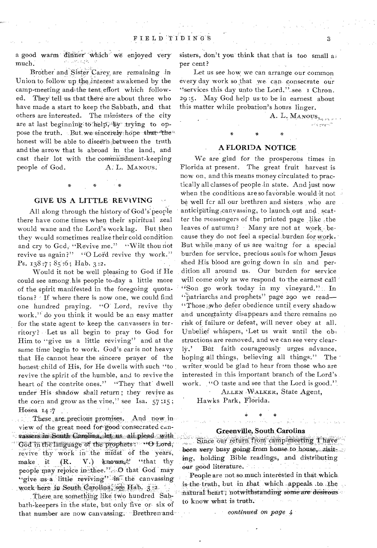a good warm dinner which we enjoyed very much.

Brother and Sister Carey are remaining in Union to follow up the interest awakened by the camp-meeting andithe tent, effort which followed. They tell us that there are about three who have made a start to keep the Sabbath, and that others are interested. The ministers of the city are at last beginning: to help; by trying to oppose the truth. . But we sincerely hope that the honest will be able to discern :between the truth and the arrow that is abroad in the land, and cast their lot with the commandment-keeping people of God. A. L. MANOUS.

#### **GIVE US A LITTLE REVIVING**

All along through the history of God's people there have come times when their spiritual' zeal would wane and the Lord's work lag. But then they would sometimes realize their cold condition and cry to God, "Revive me." "Wilt thou not revive us again?" "O Lord revive thy work." Ps.  $138:7$ ;  $85:6$ ; Hab. 3:2.

Would it not be well pleasing to God if He could see among his people to-day a little more of the spirit manifested in the foregoing quotations? If where there is now one, we could find one hundred praying. "0-Lord, revive thy work," do you think it would be an easy matter for the state agent to keep the. canvassers in territory? • Let us all begin to pray to God for Him to "give us a little reviving" and at the same time begin to work. God's ear is not heavy that He cannot hear the sincere prayer of the honest child of His, for He dwells with such "to revive the spirit of the humble, and to revive the heart of the contrite ones." "They that' dwell under His shadow shall return; they revive as the corn and grow as the vine," see Isa.  $57$ ;  $15$ ; Hosea 14:7

These are precious promises. And now in view of the great need for-good consecrated cantassers in South Carolina, let us all plead God in the language of the prophets: "O Lord; revive thy work in the midst of the years, make it  $(R. V.)$  known;<sup>2</sup> "that thy people may rejoice in thee."....O that God may "give us-a little reviving" in the canvassing work here in South Carolina, see Hab. 3:2-

There are something like two hundred Sabbath-keepers in the state, but only five or six of that number are now canvassing: Brethren and-

sisters, don't you think that that is too small a; per cent?

Let us see how we can arrange our common every day work so that we can consecrate our "services this day unto the Lord," see I Chron. 29 :5. May God help us to be in earnest about this matter while probation's hours linger.

### **A FLORIDA NOTICE**

We are glad for the prosperous times in Florida at present. The great fruit harvest is now on, and this means money circulated to practically all classes of people in state. And just now when the conditions are so favorable would it not be well for all our brethren and sisters who are anticipating canvassing, to launch out and scatter the messengers of the printed page like ,the leaves of autumn? Many are not at work, because they do not feel a special, burden for work. But while many of us are waitng for a special burden for service, precious souls for whom Jesus shed His blood are going down in sin and perdition all around us. Our burden for service will come only as we respond to the earnest call "Son go work today in my vineyard." In "patriarchs and prophets" page 290 we read— "Those iwho defer obedience until every shadow and uncertainty disappears and there remains no risk of failure or defeat, will never obey at all. Unbelief whispers, 'Let us wait until the ob, structions are removed, and we can see very clearly,' But faith courageously urges advance, hoping all things, believing all things:" The writer would be glad to hear from those who are interested in this important branch of the Lord's work. "O taste and see that the Lord is good."

> ALLEN WIALKER, State Agent, Hawks Park, Florida.

### Greenville, South Carolina

ince our return from camp-meeting been very busy going from house to house, risit ing, holding Bible readings, and distributing our good literature.

People are not so much interested in that which is the truth, but in that which appeals to the natural heart; notwithstanding some are desirous to know what is truth.

*continued on page 4* 

A. L. MANOUS.